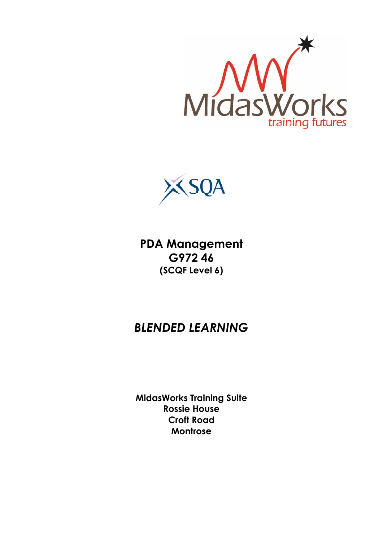



**PDA Management G972 46 (SCQF Level 6)**

# *BLENDED LEARNING*

**MidasWorks Training Suite Rossie House Croft Road Montrose**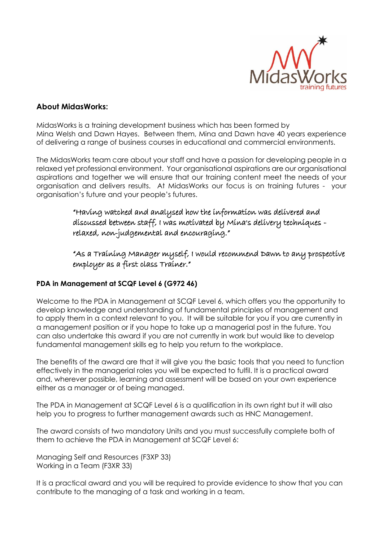

## **About MidasWorks:**

MidasWorks is a training development business which has been formed by Mina Welsh and Dawn Hayes. Between them, Mina and Dawn have 40 years experience of delivering a range of business courses in educational and commercial environments.

The MidasWorks team care about your staff and have a passion for developing people in a relaxed yet professional environment. Your organisational aspirations are our organisational aspirations and together we will ensure that our training content meet the needs of your organisation and delivers results. At MidasWorks our focus is on training futures - your organisation's future and your people's futures.

> "Having watched and analysed how the information was delivered and discussed between staff, I was motivated by Mina's delivery techniques relaxed, non-judgemental and encouraging."

"As a Training Manager myself, I would recommend Dawn to any prospective employer as a first class Trainer."

#### **PDA in Management at SCQF Level 6 (G972 46)**

Welcome to the PDA in Management at SCQF Level 6, which offers you the opportunity to develop knowledge and understanding of fundamental principles of management and to apply them in a context relevant to you. It will be suitable for you if you are currently in a management position or if you hope to take up a managerial post in the future. You can also undertake this award if you are not currently in work but would like to develop fundamental management skills eg to help you return to the workplace.

The benefits of the award are that it will give you the basic tools that you need to function effectively in the managerial roles you will be expected to fulfil. It is a practical award and, wherever possible, learning and assessment will be based on your own experience either as a manager or of being managed.

The PDA in Management at SCQF Level 6 is a qualification in its own right but it will also help you to progress to further management awards such as HNC Management.

The award consists of two mandatory Units and you must successfully complete both of them to achieve the PDA in Management at SCQF Level 6:

Managing Self and Resources (F3XP 33) Working in a Team (F3XR 33)

It is a practical award and you will be required to provide evidence to show that you can contribute to the managing of a task and working in a team.